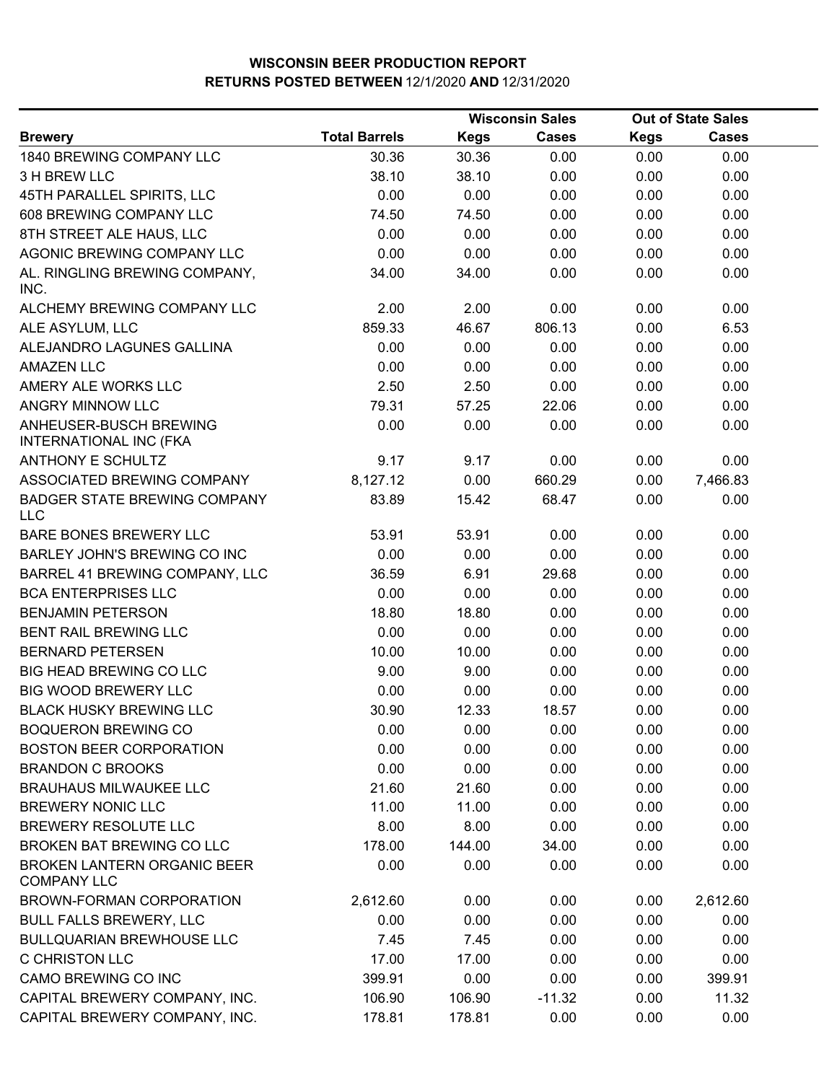|                                                         |                      |             | <b>Wisconsin Sales</b> | <b>Out of State Sales</b> |              |  |
|---------------------------------------------------------|----------------------|-------------|------------------------|---------------------------|--------------|--|
| <b>Brewery</b>                                          | <b>Total Barrels</b> | <b>Kegs</b> | <b>Cases</b>           | <b>Kegs</b>               | <b>Cases</b> |  |
| 1840 BREWING COMPANY LLC                                | 30.36                | 30.36       | 0.00                   | 0.00                      | 0.00         |  |
| 3 H BREW LLC                                            | 38.10                | 38.10       | 0.00                   | 0.00                      | 0.00         |  |
| 45TH PARALLEL SPIRITS, LLC                              | 0.00                 | 0.00        | 0.00                   | 0.00                      | 0.00         |  |
| 608 BREWING COMPANY LLC                                 | 74.50                | 74.50       | 0.00                   | 0.00                      | 0.00         |  |
| 8TH STREET ALE HAUS, LLC                                | 0.00                 | 0.00        | 0.00                   | 0.00                      | 0.00         |  |
| AGONIC BREWING COMPANY LLC                              | 0.00                 | 0.00        | 0.00                   | 0.00                      | 0.00         |  |
| AL. RINGLING BREWING COMPANY,<br>INC.                   | 34.00                | 34.00       | 0.00                   | 0.00                      | 0.00         |  |
| ALCHEMY BREWING COMPANY LLC                             | 2.00                 | 2.00        | 0.00                   | 0.00                      | 0.00         |  |
| ALE ASYLUM, LLC                                         | 859.33               | 46.67       | 806.13                 | 0.00                      | 6.53         |  |
| ALEJANDRO LAGUNES GALLINA                               | 0.00                 | 0.00        | 0.00                   | 0.00                      | 0.00         |  |
| <b>AMAZEN LLC</b>                                       | 0.00                 | 0.00        | 0.00                   | 0.00                      | 0.00         |  |
| AMERY ALE WORKS LLC                                     | 2.50                 | 2.50        | 0.00                   | 0.00                      | 0.00         |  |
| ANGRY MINNOW LLC                                        | 79.31                | 57.25       | 22.06                  | 0.00                      | 0.00         |  |
| ANHEUSER-BUSCH BREWING<br><b>INTERNATIONAL INC (FKA</b> | 0.00                 | 0.00        | 0.00                   | 0.00                      | 0.00         |  |
| <b>ANTHONY E SCHULTZ</b>                                | 9.17                 | 9.17        | 0.00                   | 0.00                      | 0.00         |  |
| ASSOCIATED BREWING COMPANY                              | 8,127.12             | 0.00        | 660.29                 | 0.00                      | 7,466.83     |  |
| <b>BADGER STATE BREWING COMPANY</b><br><b>LLC</b>       | 83.89                | 15.42       | 68.47                  | 0.00                      | 0.00         |  |
| BARE BONES BREWERY LLC                                  | 53.91                | 53.91       | 0.00                   | 0.00                      | 0.00         |  |
| BARLEY JOHN'S BREWING CO INC                            | 0.00                 | 0.00        | 0.00                   | 0.00                      | 0.00         |  |
| BARREL 41 BREWING COMPANY, LLC                          | 36.59                | 6.91        | 29.68                  | 0.00                      | 0.00         |  |
| <b>BCA ENTERPRISES LLC</b>                              | 0.00                 | 0.00        | 0.00                   | 0.00                      | 0.00         |  |
| <b>BENJAMIN PETERSON</b>                                | 18.80                | 18.80       | 0.00                   | 0.00                      | 0.00         |  |
| BENT RAIL BREWING LLC                                   | 0.00                 | 0.00        | 0.00                   | 0.00                      | 0.00         |  |
| <b>BERNARD PETERSEN</b>                                 | 10.00                | 10.00       | 0.00                   | 0.00                      | 0.00         |  |
| <b>BIG HEAD BREWING CO LLC</b>                          | 9.00                 | 9.00        | 0.00                   | 0.00                      | 0.00         |  |
| <b>BIG WOOD BREWERY LLC</b>                             | 0.00                 | 0.00        | 0.00                   | 0.00                      | 0.00         |  |
| <b>BLACK HUSKY BREWING LLC</b>                          | 30.90                | 12.33       | 18.57                  | 0.00                      | 0.00         |  |
| <b>BOQUERON BREWING CO</b>                              | 0.00                 | 0.00        | 0.00                   | 0.00                      | 0.00         |  |
| <b>BOSTON BEER CORPORATION</b>                          | 0.00                 | 0.00        | 0.00                   | 0.00                      | 0.00         |  |
| <b>BRANDON C BROOKS</b>                                 | 0.00                 | 0.00        | 0.00                   | 0.00                      | 0.00         |  |
| <b>BRAUHAUS MILWAUKEE LLC</b>                           | 21.60                | 21.60       | 0.00                   | 0.00                      | 0.00         |  |
| <b>BREWERY NONIC LLC</b>                                | 11.00                | 11.00       | 0.00                   | 0.00                      | 0.00         |  |
| BREWERY RESOLUTE LLC                                    | 8.00                 | 8.00        | 0.00                   | 0.00                      | 0.00         |  |
| BROKEN BAT BREWING CO LLC                               | 178.00               | 144.00      | 34.00                  | 0.00                      | 0.00         |  |
| BROKEN LANTERN ORGANIC BEER<br><b>COMPANY LLC</b>       | 0.00                 | 0.00        | 0.00                   | 0.00                      | 0.00         |  |
| BROWN-FORMAN CORPORATION                                | 2,612.60             | 0.00        | 0.00                   | 0.00                      | 2,612.60     |  |
| <b>BULL FALLS BREWERY, LLC</b>                          | 0.00                 | 0.00        | 0.00                   | 0.00                      | 0.00         |  |
| <b>BULLQUARIAN BREWHOUSE LLC</b>                        | 7.45                 | 7.45        | 0.00                   | 0.00                      | 0.00         |  |
| C CHRISTON LLC                                          | 17.00                | 17.00       | 0.00                   | 0.00                      | 0.00         |  |
| CAMO BREWING CO INC                                     | 399.91               | 0.00        | 0.00                   | 0.00                      | 399.91       |  |
| CAPITAL BREWERY COMPANY, INC.                           | 106.90               | 106.90      | $-11.32$               | 0.00                      | 11.32        |  |
| CAPITAL BREWERY COMPANY, INC.                           | 178.81               | 178.81      | 0.00                   | 0.00                      | 0.00         |  |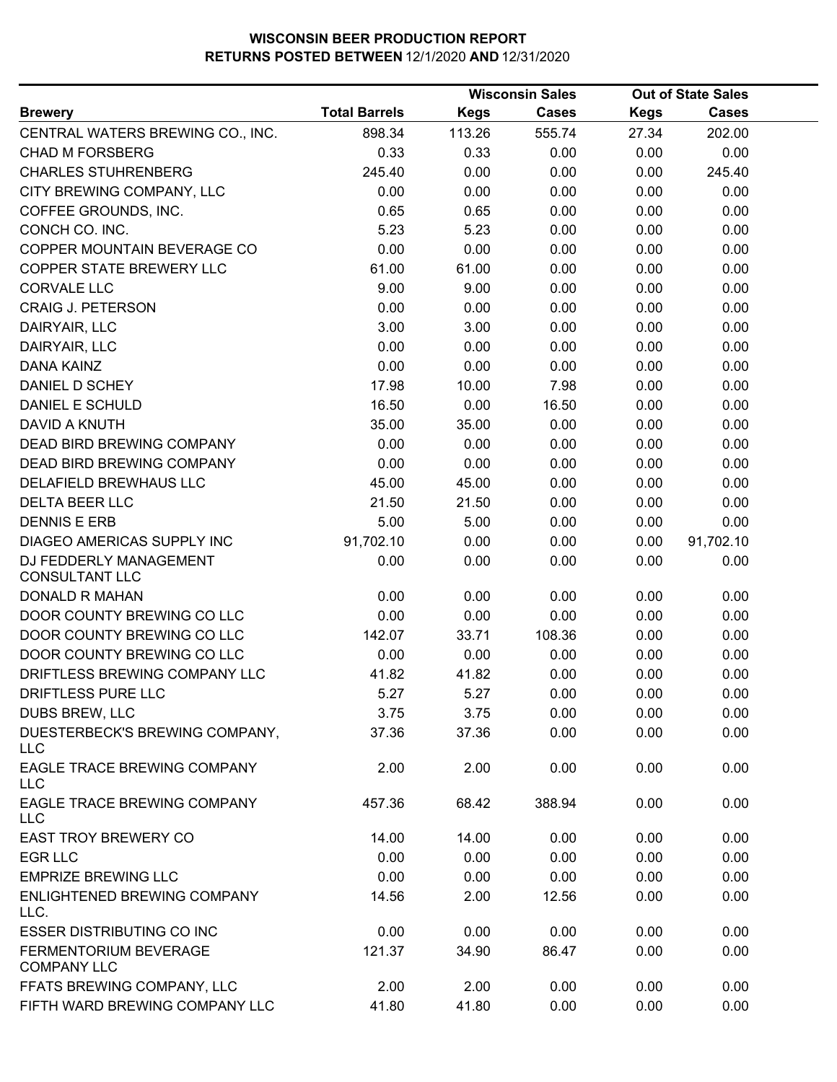|                                                  |                      |             | <b>Wisconsin Sales</b> |             | <b>Out of State Sales</b> |  |
|--------------------------------------------------|----------------------|-------------|------------------------|-------------|---------------------------|--|
| <b>Brewery</b>                                   | <b>Total Barrels</b> | <b>Kegs</b> | <b>Cases</b>           | <b>Kegs</b> | Cases                     |  |
| CENTRAL WATERS BREWING CO., INC.                 | 898.34               | 113.26      | 555.74                 | 27.34       | 202.00                    |  |
| <b>CHAD M FORSBERG</b>                           | 0.33                 | 0.33        | 0.00                   | 0.00        | 0.00                      |  |
| <b>CHARLES STUHRENBERG</b>                       | 245.40               | 0.00        | 0.00                   | 0.00        | 245.40                    |  |
| CITY BREWING COMPANY, LLC                        | 0.00                 | 0.00        | 0.00                   | 0.00        | 0.00                      |  |
| COFFEE GROUNDS, INC.                             | 0.65                 | 0.65        | 0.00                   | 0.00        | 0.00                      |  |
| CONCH CO. INC.                                   | 5.23                 | 5.23        | 0.00                   | 0.00        | 0.00                      |  |
| COPPER MOUNTAIN BEVERAGE CO                      | 0.00                 | 0.00        | 0.00                   | 0.00        | 0.00                      |  |
| COPPER STATE BREWERY LLC                         | 61.00                | 61.00       | 0.00                   | 0.00        | 0.00                      |  |
| <b>CORVALE LLC</b>                               | 9.00                 | 9.00        | 0.00                   | 0.00        | 0.00                      |  |
| <b>CRAIG J. PETERSON</b>                         | 0.00                 | 0.00        | 0.00                   | 0.00        | 0.00                      |  |
| DAIRYAIR, LLC                                    | 3.00                 | 3.00        | 0.00                   | 0.00        | 0.00                      |  |
| DAIRYAIR, LLC                                    | 0.00                 | 0.00        | 0.00                   | 0.00        | 0.00                      |  |
| <b>DANA KAINZ</b>                                | 0.00                 | 0.00        | 0.00                   | 0.00        | 0.00                      |  |
| DANIEL D SCHEY                                   | 17.98                | 10.00       | 7.98                   | 0.00        | 0.00                      |  |
| DANIEL E SCHULD                                  | 16.50                | 0.00        | 16.50                  | 0.00        | 0.00                      |  |
| DAVID A KNUTH                                    | 35.00                | 35.00       | 0.00                   | 0.00        | 0.00                      |  |
| DEAD BIRD BREWING COMPANY                        | 0.00                 | 0.00        | 0.00                   | 0.00        | 0.00                      |  |
| DEAD BIRD BREWING COMPANY                        | 0.00                 | 0.00        | 0.00                   | 0.00        | 0.00                      |  |
| DELAFIELD BREWHAUS LLC                           | 45.00                | 45.00       | 0.00                   | 0.00        | 0.00                      |  |
| <b>DELTA BEER LLC</b>                            | 21.50                | 21.50       | 0.00                   | 0.00        | 0.00                      |  |
| <b>DENNIS E ERB</b>                              | 5.00                 | 5.00        | 0.00                   | 0.00        | 0.00                      |  |
| DIAGEO AMERICAS SUPPLY INC                       | 91,702.10            | 0.00        | 0.00                   | 0.00        | 91,702.10                 |  |
| DJ FEDDERLY MANAGEMENT<br><b>CONSULTANT LLC</b>  | 0.00                 | 0.00        | 0.00                   | 0.00        | 0.00                      |  |
| <b>DONALD R MAHAN</b>                            | 0.00                 | 0.00        | 0.00                   | 0.00        | 0.00                      |  |
| DOOR COUNTY BREWING CO LLC                       | 0.00                 | 0.00        | 0.00                   | 0.00        | 0.00                      |  |
| DOOR COUNTY BREWING CO LLC                       | 142.07               | 33.71       | 108.36                 | 0.00        | 0.00                      |  |
| DOOR COUNTY BREWING CO LLC                       | 0.00                 | 0.00        | 0.00                   | 0.00        | 0.00                      |  |
| DRIFTLESS BREWING COMPANY LLC                    | 41.82                | 41.82       | 0.00                   | 0.00        | 0.00                      |  |
| DRIFTLESS PURE LLC                               | 5.27                 | 5.27        | 0.00                   | 0.00        | 0.00                      |  |
| DUBS BREW, LLC                                   | 3.75                 | 3.75        | 0.00                   | 0.00        | 0.00                      |  |
| DUESTERBECK'S BREWING COMPANY,<br><b>LLC</b>     | 37.36                | 37.36       | 0.00                   | 0.00        | 0.00                      |  |
| <b>EAGLE TRACE BREWING COMPANY</b><br><b>LLC</b> | 2.00                 | 2.00        | 0.00                   | 0.00        | 0.00                      |  |
| EAGLE TRACE BREWING COMPANY<br><b>LLC</b>        | 457.36               | 68.42       | 388.94                 | 0.00        | 0.00                      |  |
| <b>EAST TROY BREWERY CO</b>                      | 14.00                | 14.00       | 0.00                   | 0.00        | 0.00                      |  |
| <b>EGR LLC</b>                                   | 0.00                 | 0.00        | 0.00                   | 0.00        | 0.00                      |  |
| <b>EMPRIZE BREWING LLC</b>                       | 0.00                 | 0.00        | 0.00                   | 0.00        | 0.00                      |  |
| ENLIGHTENED BREWING COMPANY<br>LLC.              | 14.56                | 2.00        | 12.56                  | 0.00        | 0.00                      |  |
| <b>ESSER DISTRIBUTING CO INC</b>                 | 0.00                 | 0.00        | 0.00                   | 0.00        | 0.00                      |  |
| FERMENTORIUM BEVERAGE<br><b>COMPANY LLC</b>      | 121.37               | 34.90       | 86.47                  | 0.00        | 0.00                      |  |
| FFATS BREWING COMPANY, LLC                       | 2.00                 | 2.00        | 0.00                   | 0.00        | 0.00                      |  |
| FIFTH WARD BREWING COMPANY LLC                   | 41.80                | 41.80       | 0.00                   | 0.00        | 0.00                      |  |
|                                                  |                      |             |                        |             |                           |  |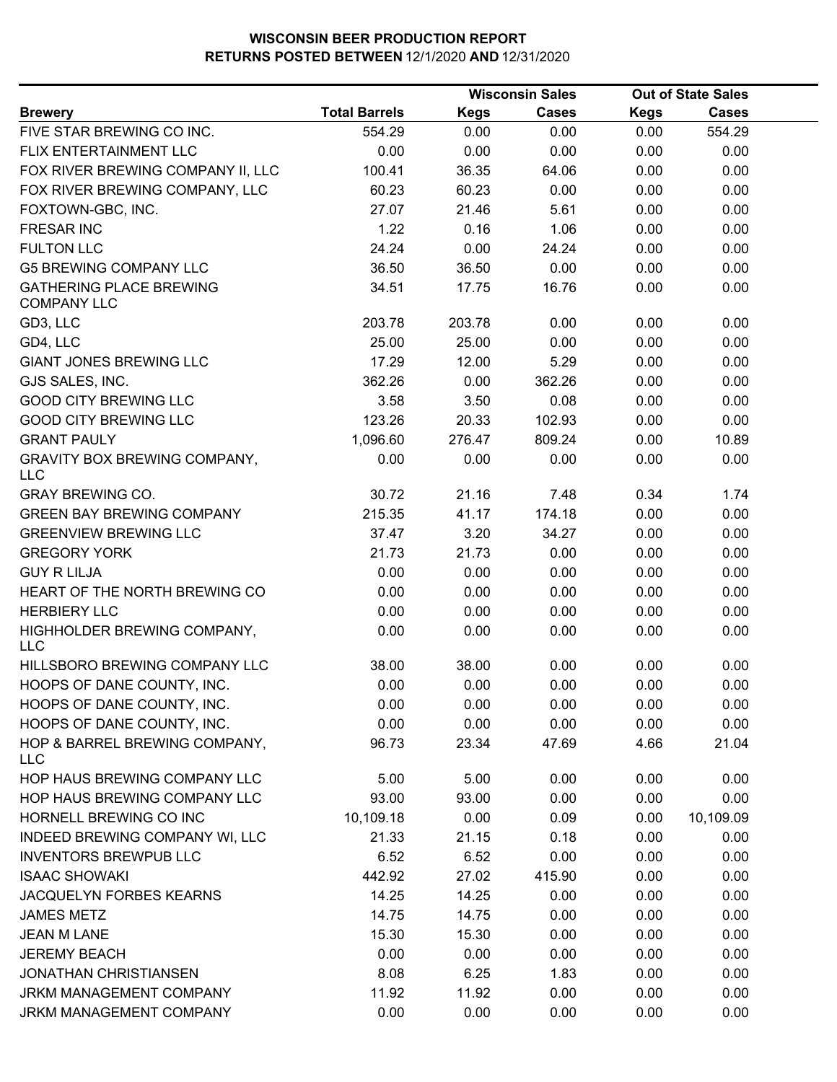| <b>Total Barrels</b><br><b>Kegs</b><br><b>Cases</b><br><b>Cases</b><br><b>Kegs</b><br>554.29<br>0.00<br>554.29<br>0.00<br>0.00<br>0.00<br>0.00<br>0.00<br>0.00<br>0.00<br>36.35<br>100.41<br>64.06<br>0.00<br>0.00<br>0.00<br>60.23<br>60.23<br>0.00<br>0.00<br>27.07<br>21.46<br>5.61<br>0.00<br>0.00<br>1.22<br>0.16<br>1.06<br>0.00<br>0.00<br>24.24<br>0.00<br>24.24<br>0.00<br>0.00<br>0.00<br>36.50<br>36.50<br>0.00<br>0.00<br>16.76<br>34.51<br>17.75<br>0.00<br>0.00<br>203.78<br>203.78<br>0.00<br>0.00<br>0.00<br>25.00<br>0.00<br>0.00<br>0.00<br>25.00<br>17.29<br>12.00<br>5.29<br>0.00<br>0.00<br>362.26<br>0.00<br>362.26<br>0.00<br>0.00<br>3.58<br>3.50<br>0.08<br>0.00<br>0.00<br>123.26<br>0.00<br>20.33<br>102.93<br>0.00<br>1,096.60<br>809.24<br>0.00<br>10.89<br>276.47<br>0.00<br>0.00<br>0.00<br>0.00<br>0.00<br>30.72<br>21.16<br>7.48<br>0.34<br>1.74<br>215.35<br>41.17<br>174.18<br>0.00<br>0.00<br>37.47<br>3.20<br>34.27<br>0.00<br>0.00<br>21.73<br>21.73<br>0.00<br>0.00<br>0.00<br>0.00<br>0.00<br>0.00<br>0.00<br>0.00<br>0.00<br>0.00<br>0.00<br>0.00<br>0.00<br>0.00<br>0.00<br>0.00<br>0.00<br>0.00<br>0.00<br>0.00<br>0.00<br>0.00<br>0.00<br>38.00<br>38.00<br>0.00<br>0.00<br>0.00<br>0.00<br>0.00<br>0.00<br>0.00<br>0.00<br>0.00<br>0.00<br>0.00<br>0.00<br>0.00<br>0.00<br>0.00<br>0.00<br>0.00<br>0.00<br>21.04<br>96.73<br>23.34<br>47.69<br>4.66<br>5.00<br>5.00<br>0.00<br>0.00<br>0.00<br>0.00<br>93.00<br>93.00<br>0.00<br>0.00<br>10,109.18<br>0.00<br>0.09<br>0.00<br>10,109.09<br>21.33<br>21.15<br>0.00<br>0.00<br>0.18<br>0.00<br>0.00<br>0.00<br>6.52<br>6.52<br>442.92<br>27.02<br>415.90<br>0.00<br>0.00<br>14.25<br>14.25<br>0.00<br>0.00<br>0.00<br>14.75<br>14.75<br>0.00<br>0.00<br>0.00<br>15.30<br>15.30<br>0.00<br>0.00<br>0.00<br>0.00<br>0.00<br>0.00<br>0.00<br>0.00<br>8.08<br>6.25<br>1.83<br>0.00<br>0.00<br>11.92<br>11.92<br>0.00<br>0.00<br>0.00<br>0.00<br>0.00<br>0.00<br>0.00<br>0.00 |                                                      |  | <b>Wisconsin Sales</b> | <b>Out of State Sales</b> |
|---------------------------------------------------------------------------------------------------------------------------------------------------------------------------------------------------------------------------------------------------------------------------------------------------------------------------------------------------------------------------------------------------------------------------------------------------------------------------------------------------------------------------------------------------------------------------------------------------------------------------------------------------------------------------------------------------------------------------------------------------------------------------------------------------------------------------------------------------------------------------------------------------------------------------------------------------------------------------------------------------------------------------------------------------------------------------------------------------------------------------------------------------------------------------------------------------------------------------------------------------------------------------------------------------------------------------------------------------------------------------------------------------------------------------------------------------------------------------------------------------------------------------------------------------------------------------------------------------------------------------------------------------------------------------------------------------------------------------------------------------------------------------------------------------------------------------------------------------------------------------------------------------------------------------------------------------------------------|------------------------------------------------------|--|------------------------|---------------------------|
|                                                                                                                                                                                                                                                                                                                                                                                                                                                                                                                                                                                                                                                                                                                                                                                                                                                                                                                                                                                                                                                                                                                                                                                                                                                                                                                                                                                                                                                                                                                                                                                                                                                                                                                                                                                                                                                                                                                                                                     | <b>Brewery</b>                                       |  |                        |                           |
|                                                                                                                                                                                                                                                                                                                                                                                                                                                                                                                                                                                                                                                                                                                                                                                                                                                                                                                                                                                                                                                                                                                                                                                                                                                                                                                                                                                                                                                                                                                                                                                                                                                                                                                                                                                                                                                                                                                                                                     | FIVE STAR BREWING CO INC.                            |  |                        |                           |
|                                                                                                                                                                                                                                                                                                                                                                                                                                                                                                                                                                                                                                                                                                                                                                                                                                                                                                                                                                                                                                                                                                                                                                                                                                                                                                                                                                                                                                                                                                                                                                                                                                                                                                                                                                                                                                                                                                                                                                     | FLIX ENTERTAINMENT LLC                               |  |                        |                           |
|                                                                                                                                                                                                                                                                                                                                                                                                                                                                                                                                                                                                                                                                                                                                                                                                                                                                                                                                                                                                                                                                                                                                                                                                                                                                                                                                                                                                                                                                                                                                                                                                                                                                                                                                                                                                                                                                                                                                                                     | FOX RIVER BREWING COMPANY II, LLC                    |  |                        |                           |
|                                                                                                                                                                                                                                                                                                                                                                                                                                                                                                                                                                                                                                                                                                                                                                                                                                                                                                                                                                                                                                                                                                                                                                                                                                                                                                                                                                                                                                                                                                                                                                                                                                                                                                                                                                                                                                                                                                                                                                     | FOX RIVER BREWING COMPANY, LLC                       |  |                        |                           |
|                                                                                                                                                                                                                                                                                                                                                                                                                                                                                                                                                                                                                                                                                                                                                                                                                                                                                                                                                                                                                                                                                                                                                                                                                                                                                                                                                                                                                                                                                                                                                                                                                                                                                                                                                                                                                                                                                                                                                                     | FOXTOWN-GBC, INC.                                    |  |                        |                           |
|                                                                                                                                                                                                                                                                                                                                                                                                                                                                                                                                                                                                                                                                                                                                                                                                                                                                                                                                                                                                                                                                                                                                                                                                                                                                                                                                                                                                                                                                                                                                                                                                                                                                                                                                                                                                                                                                                                                                                                     | <b>FRESAR INC</b>                                    |  |                        |                           |
|                                                                                                                                                                                                                                                                                                                                                                                                                                                                                                                                                                                                                                                                                                                                                                                                                                                                                                                                                                                                                                                                                                                                                                                                                                                                                                                                                                                                                                                                                                                                                                                                                                                                                                                                                                                                                                                                                                                                                                     | <b>FULTON LLC</b>                                    |  |                        |                           |
|                                                                                                                                                                                                                                                                                                                                                                                                                                                                                                                                                                                                                                                                                                                                                                                                                                                                                                                                                                                                                                                                                                                                                                                                                                                                                                                                                                                                                                                                                                                                                                                                                                                                                                                                                                                                                                                                                                                                                                     | <b>G5 BREWING COMPANY LLC</b>                        |  |                        |                           |
|                                                                                                                                                                                                                                                                                                                                                                                                                                                                                                                                                                                                                                                                                                                                                                                                                                                                                                                                                                                                                                                                                                                                                                                                                                                                                                                                                                                                                                                                                                                                                                                                                                                                                                                                                                                                                                                                                                                                                                     | <b>GATHERING PLACE BREWING</b><br><b>COMPANY LLC</b> |  |                        |                           |
|                                                                                                                                                                                                                                                                                                                                                                                                                                                                                                                                                                                                                                                                                                                                                                                                                                                                                                                                                                                                                                                                                                                                                                                                                                                                                                                                                                                                                                                                                                                                                                                                                                                                                                                                                                                                                                                                                                                                                                     | GD3, LLC                                             |  |                        |                           |
|                                                                                                                                                                                                                                                                                                                                                                                                                                                                                                                                                                                                                                                                                                                                                                                                                                                                                                                                                                                                                                                                                                                                                                                                                                                                                                                                                                                                                                                                                                                                                                                                                                                                                                                                                                                                                                                                                                                                                                     | GD4, LLC                                             |  |                        |                           |
|                                                                                                                                                                                                                                                                                                                                                                                                                                                                                                                                                                                                                                                                                                                                                                                                                                                                                                                                                                                                                                                                                                                                                                                                                                                                                                                                                                                                                                                                                                                                                                                                                                                                                                                                                                                                                                                                                                                                                                     | <b>GIANT JONES BREWING LLC</b>                       |  |                        |                           |
|                                                                                                                                                                                                                                                                                                                                                                                                                                                                                                                                                                                                                                                                                                                                                                                                                                                                                                                                                                                                                                                                                                                                                                                                                                                                                                                                                                                                                                                                                                                                                                                                                                                                                                                                                                                                                                                                                                                                                                     | GJS SALES, INC.                                      |  |                        |                           |
|                                                                                                                                                                                                                                                                                                                                                                                                                                                                                                                                                                                                                                                                                                                                                                                                                                                                                                                                                                                                                                                                                                                                                                                                                                                                                                                                                                                                                                                                                                                                                                                                                                                                                                                                                                                                                                                                                                                                                                     | <b>GOOD CITY BREWING LLC</b>                         |  |                        |                           |
|                                                                                                                                                                                                                                                                                                                                                                                                                                                                                                                                                                                                                                                                                                                                                                                                                                                                                                                                                                                                                                                                                                                                                                                                                                                                                                                                                                                                                                                                                                                                                                                                                                                                                                                                                                                                                                                                                                                                                                     | <b>GOOD CITY BREWING LLC</b>                         |  |                        |                           |
|                                                                                                                                                                                                                                                                                                                                                                                                                                                                                                                                                                                                                                                                                                                                                                                                                                                                                                                                                                                                                                                                                                                                                                                                                                                                                                                                                                                                                                                                                                                                                                                                                                                                                                                                                                                                                                                                                                                                                                     | <b>GRANT PAULY</b>                                   |  |                        |                           |
|                                                                                                                                                                                                                                                                                                                                                                                                                                                                                                                                                                                                                                                                                                                                                                                                                                                                                                                                                                                                                                                                                                                                                                                                                                                                                                                                                                                                                                                                                                                                                                                                                                                                                                                                                                                                                                                                                                                                                                     | <b>GRAVITY BOX BREWING COMPANY,</b><br><b>LLC</b>    |  |                        |                           |
|                                                                                                                                                                                                                                                                                                                                                                                                                                                                                                                                                                                                                                                                                                                                                                                                                                                                                                                                                                                                                                                                                                                                                                                                                                                                                                                                                                                                                                                                                                                                                                                                                                                                                                                                                                                                                                                                                                                                                                     | <b>GRAY BREWING CO.</b>                              |  |                        |                           |
|                                                                                                                                                                                                                                                                                                                                                                                                                                                                                                                                                                                                                                                                                                                                                                                                                                                                                                                                                                                                                                                                                                                                                                                                                                                                                                                                                                                                                                                                                                                                                                                                                                                                                                                                                                                                                                                                                                                                                                     | <b>GREEN BAY BREWING COMPANY</b>                     |  |                        |                           |
|                                                                                                                                                                                                                                                                                                                                                                                                                                                                                                                                                                                                                                                                                                                                                                                                                                                                                                                                                                                                                                                                                                                                                                                                                                                                                                                                                                                                                                                                                                                                                                                                                                                                                                                                                                                                                                                                                                                                                                     | <b>GREENVIEW BREWING LLC</b>                         |  |                        |                           |
|                                                                                                                                                                                                                                                                                                                                                                                                                                                                                                                                                                                                                                                                                                                                                                                                                                                                                                                                                                                                                                                                                                                                                                                                                                                                                                                                                                                                                                                                                                                                                                                                                                                                                                                                                                                                                                                                                                                                                                     | <b>GREGORY YORK</b>                                  |  |                        |                           |
|                                                                                                                                                                                                                                                                                                                                                                                                                                                                                                                                                                                                                                                                                                                                                                                                                                                                                                                                                                                                                                                                                                                                                                                                                                                                                                                                                                                                                                                                                                                                                                                                                                                                                                                                                                                                                                                                                                                                                                     | <b>GUY R LILJA</b>                                   |  |                        |                           |
|                                                                                                                                                                                                                                                                                                                                                                                                                                                                                                                                                                                                                                                                                                                                                                                                                                                                                                                                                                                                                                                                                                                                                                                                                                                                                                                                                                                                                                                                                                                                                                                                                                                                                                                                                                                                                                                                                                                                                                     | HEART OF THE NORTH BREWING CO                        |  |                        |                           |
|                                                                                                                                                                                                                                                                                                                                                                                                                                                                                                                                                                                                                                                                                                                                                                                                                                                                                                                                                                                                                                                                                                                                                                                                                                                                                                                                                                                                                                                                                                                                                                                                                                                                                                                                                                                                                                                                                                                                                                     | <b>HERBIERY LLC</b>                                  |  |                        |                           |
|                                                                                                                                                                                                                                                                                                                                                                                                                                                                                                                                                                                                                                                                                                                                                                                                                                                                                                                                                                                                                                                                                                                                                                                                                                                                                                                                                                                                                                                                                                                                                                                                                                                                                                                                                                                                                                                                                                                                                                     | HIGHHOLDER BREWING COMPANY,<br><b>LLC</b>            |  |                        |                           |
|                                                                                                                                                                                                                                                                                                                                                                                                                                                                                                                                                                                                                                                                                                                                                                                                                                                                                                                                                                                                                                                                                                                                                                                                                                                                                                                                                                                                                                                                                                                                                                                                                                                                                                                                                                                                                                                                                                                                                                     | HILLSBORO BREWING COMPANY LLC                        |  |                        |                           |
|                                                                                                                                                                                                                                                                                                                                                                                                                                                                                                                                                                                                                                                                                                                                                                                                                                                                                                                                                                                                                                                                                                                                                                                                                                                                                                                                                                                                                                                                                                                                                                                                                                                                                                                                                                                                                                                                                                                                                                     | HOOPS OF DANE COUNTY, INC.                           |  |                        |                           |
|                                                                                                                                                                                                                                                                                                                                                                                                                                                                                                                                                                                                                                                                                                                                                                                                                                                                                                                                                                                                                                                                                                                                                                                                                                                                                                                                                                                                                                                                                                                                                                                                                                                                                                                                                                                                                                                                                                                                                                     | HOOPS OF DANE COUNTY, INC.                           |  |                        |                           |
|                                                                                                                                                                                                                                                                                                                                                                                                                                                                                                                                                                                                                                                                                                                                                                                                                                                                                                                                                                                                                                                                                                                                                                                                                                                                                                                                                                                                                                                                                                                                                                                                                                                                                                                                                                                                                                                                                                                                                                     | HOOPS OF DANE COUNTY, INC.                           |  |                        |                           |
|                                                                                                                                                                                                                                                                                                                                                                                                                                                                                                                                                                                                                                                                                                                                                                                                                                                                                                                                                                                                                                                                                                                                                                                                                                                                                                                                                                                                                                                                                                                                                                                                                                                                                                                                                                                                                                                                                                                                                                     | HOP & BARREL BREWING COMPANY,<br><b>LLC</b>          |  |                        |                           |
|                                                                                                                                                                                                                                                                                                                                                                                                                                                                                                                                                                                                                                                                                                                                                                                                                                                                                                                                                                                                                                                                                                                                                                                                                                                                                                                                                                                                                                                                                                                                                                                                                                                                                                                                                                                                                                                                                                                                                                     | HOP HAUS BREWING COMPANY LLC                         |  |                        |                           |
|                                                                                                                                                                                                                                                                                                                                                                                                                                                                                                                                                                                                                                                                                                                                                                                                                                                                                                                                                                                                                                                                                                                                                                                                                                                                                                                                                                                                                                                                                                                                                                                                                                                                                                                                                                                                                                                                                                                                                                     | HOP HAUS BREWING COMPANY LLC                         |  |                        |                           |
|                                                                                                                                                                                                                                                                                                                                                                                                                                                                                                                                                                                                                                                                                                                                                                                                                                                                                                                                                                                                                                                                                                                                                                                                                                                                                                                                                                                                                                                                                                                                                                                                                                                                                                                                                                                                                                                                                                                                                                     | HORNELL BREWING CO INC                               |  |                        |                           |
|                                                                                                                                                                                                                                                                                                                                                                                                                                                                                                                                                                                                                                                                                                                                                                                                                                                                                                                                                                                                                                                                                                                                                                                                                                                                                                                                                                                                                                                                                                                                                                                                                                                                                                                                                                                                                                                                                                                                                                     | INDEED BREWING COMPANY WI, LLC                       |  |                        |                           |
|                                                                                                                                                                                                                                                                                                                                                                                                                                                                                                                                                                                                                                                                                                                                                                                                                                                                                                                                                                                                                                                                                                                                                                                                                                                                                                                                                                                                                                                                                                                                                                                                                                                                                                                                                                                                                                                                                                                                                                     | <b>INVENTORS BREWPUB LLC</b>                         |  |                        |                           |
|                                                                                                                                                                                                                                                                                                                                                                                                                                                                                                                                                                                                                                                                                                                                                                                                                                                                                                                                                                                                                                                                                                                                                                                                                                                                                                                                                                                                                                                                                                                                                                                                                                                                                                                                                                                                                                                                                                                                                                     | <b>ISAAC SHOWAKI</b>                                 |  |                        |                           |
|                                                                                                                                                                                                                                                                                                                                                                                                                                                                                                                                                                                                                                                                                                                                                                                                                                                                                                                                                                                                                                                                                                                                                                                                                                                                                                                                                                                                                                                                                                                                                                                                                                                                                                                                                                                                                                                                                                                                                                     | JACQUELYN FORBES KEARNS                              |  |                        |                           |
|                                                                                                                                                                                                                                                                                                                                                                                                                                                                                                                                                                                                                                                                                                                                                                                                                                                                                                                                                                                                                                                                                                                                                                                                                                                                                                                                                                                                                                                                                                                                                                                                                                                                                                                                                                                                                                                                                                                                                                     | <b>JAMES METZ</b>                                    |  |                        |                           |
|                                                                                                                                                                                                                                                                                                                                                                                                                                                                                                                                                                                                                                                                                                                                                                                                                                                                                                                                                                                                                                                                                                                                                                                                                                                                                                                                                                                                                                                                                                                                                                                                                                                                                                                                                                                                                                                                                                                                                                     | <b>JEAN M LANE</b>                                   |  |                        |                           |
|                                                                                                                                                                                                                                                                                                                                                                                                                                                                                                                                                                                                                                                                                                                                                                                                                                                                                                                                                                                                                                                                                                                                                                                                                                                                                                                                                                                                                                                                                                                                                                                                                                                                                                                                                                                                                                                                                                                                                                     | <b>JEREMY BEACH</b>                                  |  |                        |                           |
|                                                                                                                                                                                                                                                                                                                                                                                                                                                                                                                                                                                                                                                                                                                                                                                                                                                                                                                                                                                                                                                                                                                                                                                                                                                                                                                                                                                                                                                                                                                                                                                                                                                                                                                                                                                                                                                                                                                                                                     | <b>JONATHAN CHRISTIANSEN</b>                         |  |                        |                           |
|                                                                                                                                                                                                                                                                                                                                                                                                                                                                                                                                                                                                                                                                                                                                                                                                                                                                                                                                                                                                                                                                                                                                                                                                                                                                                                                                                                                                                                                                                                                                                                                                                                                                                                                                                                                                                                                                                                                                                                     | JRKM MANAGEMENT COMPANY                              |  |                        |                           |
|                                                                                                                                                                                                                                                                                                                                                                                                                                                                                                                                                                                                                                                                                                                                                                                                                                                                                                                                                                                                                                                                                                                                                                                                                                                                                                                                                                                                                                                                                                                                                                                                                                                                                                                                                                                                                                                                                                                                                                     | JRKM MANAGEMENT COMPANY                              |  |                        |                           |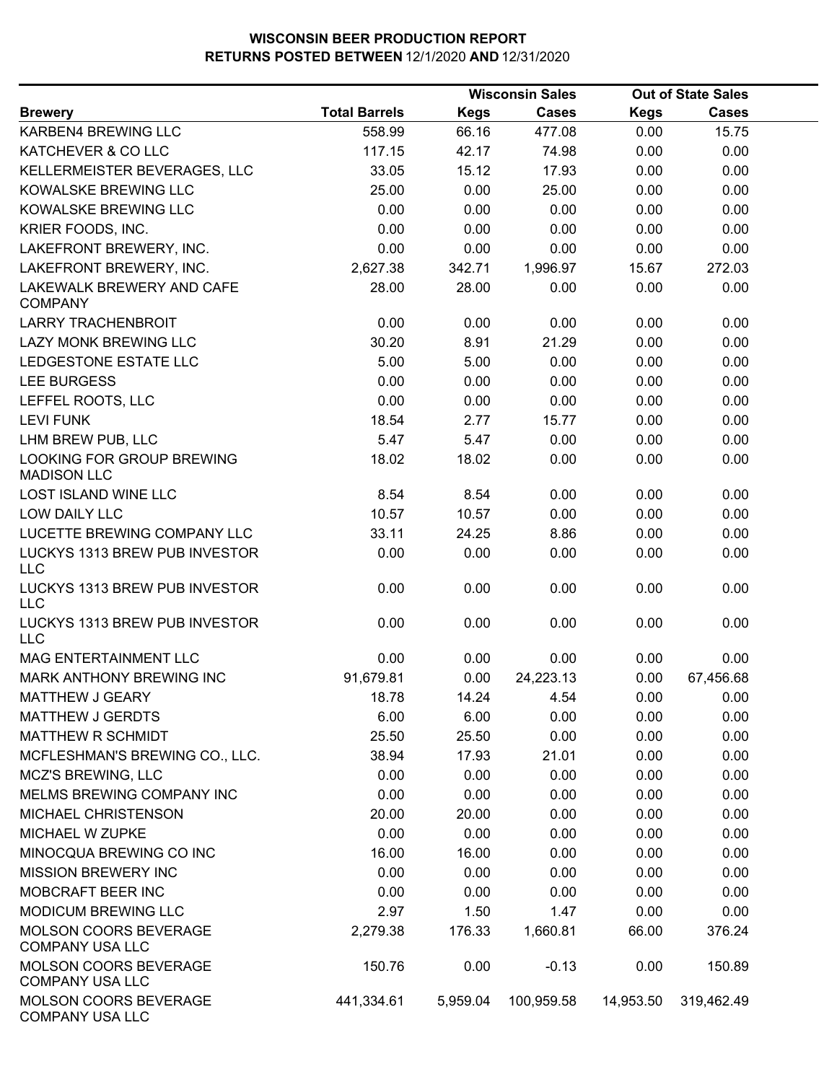|                                                 |                      |             | <b>Wisconsin Sales</b> |             | <b>Out of State Sales</b> |  |  |
|-------------------------------------------------|----------------------|-------------|------------------------|-------------|---------------------------|--|--|
| <b>Brewery</b>                                  | <b>Total Barrels</b> | <b>Kegs</b> | <b>Cases</b>           | <b>Kegs</b> | <b>Cases</b>              |  |  |
| KARBEN4 BREWING LLC                             | 558.99               | 66.16       | 477.08                 | 0.00        | 15.75                     |  |  |
| KATCHEVER & CO LLC                              | 117.15               | 42.17       | 74.98                  | 0.00        | 0.00                      |  |  |
| KELLERMEISTER BEVERAGES, LLC                    | 33.05                | 15.12       | 17.93                  | 0.00        | 0.00                      |  |  |
| KOWALSKE BREWING LLC                            | 25.00                | 0.00        | 25.00                  | 0.00        | 0.00                      |  |  |
| KOWALSKE BREWING LLC                            | 0.00                 | 0.00        | 0.00                   | 0.00        | 0.00                      |  |  |
| KRIER FOODS, INC.                               | 0.00                 | 0.00        | 0.00                   | 0.00        | 0.00                      |  |  |
| LAKEFRONT BREWERY, INC.                         | 0.00                 | 0.00        | 0.00                   | 0.00        | 0.00                      |  |  |
| LAKEFRONT BREWERY, INC.                         | 2,627.38             | 342.71      | 1,996.97               | 15.67       | 272.03                    |  |  |
| LAKEWALK BREWERY AND CAFE<br><b>COMPANY</b>     | 28.00                | 28.00       | 0.00                   | 0.00        | 0.00                      |  |  |
| <b>LARRY TRACHENBROIT</b>                       | 0.00                 | 0.00        | 0.00                   | 0.00        | 0.00                      |  |  |
| LAZY MONK BREWING LLC                           | 30.20                | 8.91        | 21.29                  | 0.00        | 0.00                      |  |  |
| LEDGESTONE ESTATE LLC                           | 5.00                 | 5.00        | 0.00                   | 0.00        | 0.00                      |  |  |
| <b>LEE BURGESS</b>                              | 0.00                 | 0.00        | 0.00                   | 0.00        | 0.00                      |  |  |
| LEFFEL ROOTS, LLC                               | 0.00                 | 0.00        | 0.00                   | 0.00        | 0.00                      |  |  |
| <b>LEVI FUNK</b>                                | 18.54                | 2.77        | 15.77                  | 0.00        | 0.00                      |  |  |
| LHM BREW PUB, LLC                               | 5.47                 | 5.47        | 0.00                   | 0.00        | 0.00                      |  |  |
| LOOKING FOR GROUP BREWING<br><b>MADISON LLC</b> | 18.02                | 18.02       | 0.00                   | 0.00        | 0.00                      |  |  |
| <b>LOST ISLAND WINE LLC</b>                     | 8.54                 | 8.54        | 0.00                   | 0.00        | 0.00                      |  |  |
| <b>LOW DAILY LLC</b>                            | 10.57                | 10.57       | 0.00                   | 0.00        | 0.00                      |  |  |
| LUCETTE BREWING COMPANY LLC                     | 33.11                | 24.25       | 8.86                   | 0.00        | 0.00                      |  |  |
| LUCKYS 1313 BREW PUB INVESTOR<br><b>LLC</b>     | 0.00                 | 0.00        | 0.00                   | 0.00        | 0.00                      |  |  |
| LUCKYS 1313 BREW PUB INVESTOR<br>LLC            | 0.00                 | 0.00        | 0.00                   | 0.00        | 0.00                      |  |  |
| LUCKYS 1313 BREW PUB INVESTOR<br><b>LLC</b>     | 0.00                 | 0.00        | 0.00                   | 0.00        | 0.00                      |  |  |
| MAG ENTERTAINMENT LLC                           | 0.00                 | 0.00        | 0.00                   | 0.00        | 0.00                      |  |  |
| MARK ANTHONY BREWING INC                        | 91,679.81            | 0.00        | 24,223.13              | 0.00        | 67,456.68                 |  |  |
| MATTHEW J GEARY                                 | 18.78                | 14.24       | 4.54                   | 0.00        | 0.00                      |  |  |
| <b>MATTHEW J GERDTS</b>                         | 6.00                 | 6.00        | 0.00                   | 0.00        | 0.00                      |  |  |
| MATTHEW R SCHMIDT                               | 25.50                | 25.50       | 0.00                   | 0.00        | 0.00                      |  |  |
| MCFLESHMAN'S BREWING CO., LLC.                  | 38.94                | 17.93       | 21.01                  | 0.00        | 0.00                      |  |  |
| <b>MCZ'S BREWING, LLC</b>                       | 0.00                 | 0.00        | 0.00                   | 0.00        | 0.00                      |  |  |
| MELMS BREWING COMPANY INC                       | 0.00                 | 0.00        | 0.00                   | 0.00        | 0.00                      |  |  |
| MICHAEL CHRISTENSON                             | 20.00                | 20.00       | 0.00                   | 0.00        | 0.00                      |  |  |
| MICHAEL W ZUPKE                                 | 0.00                 | 0.00        | 0.00                   | 0.00        | 0.00                      |  |  |
| MINOCQUA BREWING CO INC                         | 16.00                | 16.00       | 0.00                   | 0.00        | 0.00                      |  |  |
| <b>MISSION BREWERY INC</b>                      | 0.00                 | 0.00        | 0.00                   | 0.00        | 0.00                      |  |  |
| MOBCRAFT BEER INC                               | 0.00                 | 0.00        | 0.00                   | 0.00        | 0.00                      |  |  |
| <b>MODICUM BREWING LLC</b>                      | 2.97                 | 1.50        | 1.47                   | 0.00        | 0.00                      |  |  |
| MOLSON COORS BEVERAGE<br><b>COMPANY USA LLC</b> | 2,279.38             | 176.33      | 1,660.81               | 66.00       | 376.24                    |  |  |
| MOLSON COORS BEVERAGE<br><b>COMPANY USA LLC</b> | 150.76               | 0.00        | $-0.13$                | 0.00        | 150.89                    |  |  |
| MOLSON COORS BEVERAGE<br><b>COMPANY USA LLC</b> | 441,334.61           | 5,959.04    | 100,959.58             | 14,953.50   | 319,462.49                |  |  |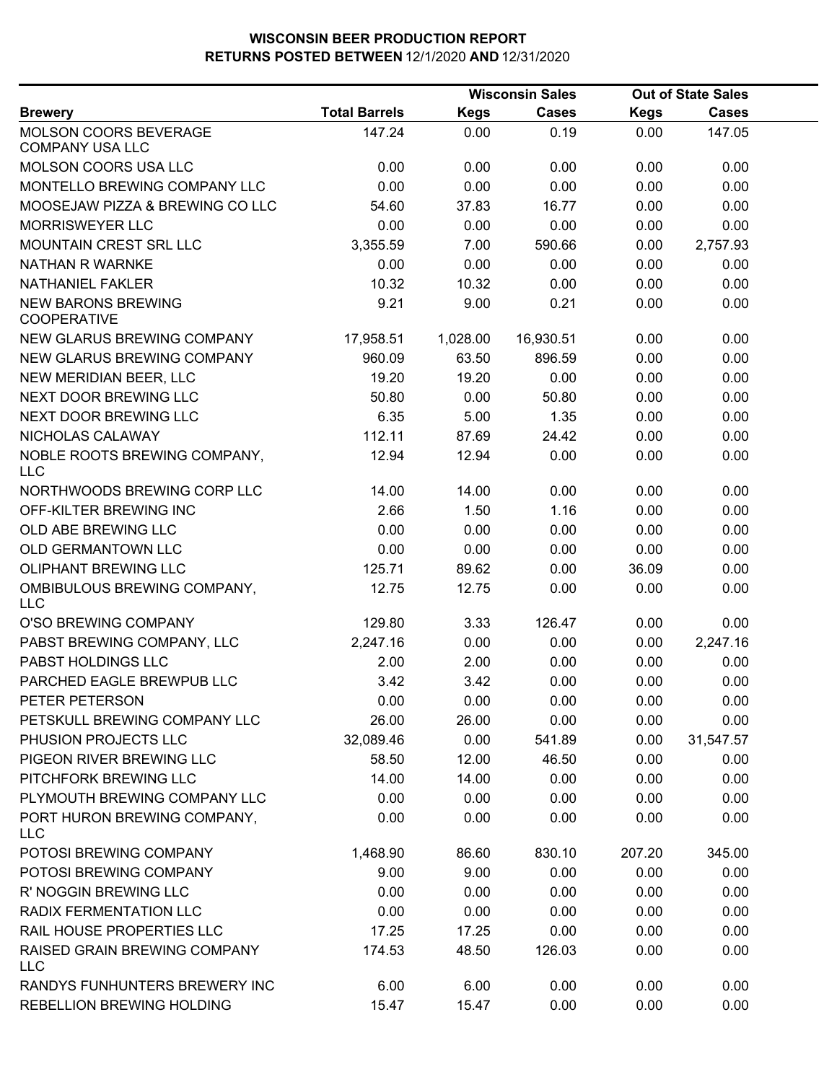|                                                        |                      |             | <b>Wisconsin Sales</b> |             | <b>Out of State Sales</b> |  |
|--------------------------------------------------------|----------------------|-------------|------------------------|-------------|---------------------------|--|
| <b>Brewery</b>                                         | <b>Total Barrels</b> | <b>Kegs</b> | <b>Cases</b>           | <b>Kegs</b> | <b>Cases</b>              |  |
| <b>MOLSON COORS BEVERAGE</b><br><b>COMPANY USA LLC</b> | 147.24               | 0.00        | 0.19                   | 0.00        | 147.05                    |  |
| MOLSON COORS USA LLC                                   | 0.00                 | 0.00        | 0.00                   | 0.00        | 0.00                      |  |
| MONTELLO BREWING COMPANY LLC                           | 0.00                 | 0.00        | 0.00                   | 0.00        | 0.00                      |  |
| MOOSEJAW PIZZA & BREWING CO LLC                        | 54.60                | 37.83       | 16.77                  | 0.00        | 0.00                      |  |
| <b>MORRISWEYER LLC</b>                                 | 0.00                 | 0.00        | 0.00                   | 0.00        | 0.00                      |  |
| MOUNTAIN CREST SRL LLC                                 | 3,355.59             | 7.00        | 590.66                 | 0.00        | 2,757.93                  |  |
| <b>NATHAN R WARNKE</b>                                 | 0.00                 | 0.00        | 0.00                   | 0.00        | 0.00                      |  |
| <b>NATHANIEL FAKLER</b>                                | 10.32                | 10.32       | 0.00                   | 0.00        | 0.00                      |  |
| <b>NEW BARONS BREWING</b><br><b>COOPERATIVE</b>        | 9.21                 | 9.00        | 0.21                   | 0.00        | 0.00                      |  |
| NEW GLARUS BREWING COMPANY                             | 17,958.51            | 1,028.00    | 16,930.51              | 0.00        | 0.00                      |  |
| NEW GLARUS BREWING COMPANY                             | 960.09               | 63.50       | 896.59                 | 0.00        | 0.00                      |  |
| NEW MERIDIAN BEER, LLC                                 | 19.20                | 19.20       | 0.00                   | 0.00        | 0.00                      |  |
| NEXT DOOR BREWING LLC                                  | 50.80                | 0.00        | 50.80                  | 0.00        | 0.00                      |  |
| NEXT DOOR BREWING LLC                                  | 6.35                 | 5.00        | 1.35                   | 0.00        | 0.00                      |  |
| NICHOLAS CALAWAY                                       | 112.11               | 87.69       | 24.42                  | 0.00        | 0.00                      |  |
| NOBLE ROOTS BREWING COMPANY,<br><b>LLC</b>             | 12.94                | 12.94       | 0.00                   | 0.00        | 0.00                      |  |
| NORTHWOODS BREWING CORP LLC                            | 14.00                | 14.00       | 0.00                   | 0.00        | 0.00                      |  |
| OFF-KILTER BREWING INC                                 | 2.66                 | 1.50        | 1.16                   | 0.00        | 0.00                      |  |
| OLD ABE BREWING LLC                                    | 0.00                 | 0.00        | 0.00                   | 0.00        | 0.00                      |  |
| OLD GERMANTOWN LLC                                     | 0.00                 | 0.00        | 0.00                   | 0.00        | 0.00                      |  |
| <b>OLIPHANT BREWING LLC</b>                            | 125.71               | 89.62       | 0.00                   | 36.09       | 0.00                      |  |
| OMBIBULOUS BREWING COMPANY,<br><b>LLC</b>              | 12.75                | 12.75       | 0.00                   | 0.00        | 0.00                      |  |
| O'SO BREWING COMPANY                                   | 129.80               | 3.33        | 126.47                 | 0.00        | 0.00                      |  |
| PABST BREWING COMPANY, LLC                             | 2,247.16             | 0.00        | 0.00                   | 0.00        | 2,247.16                  |  |
| PABST HOLDINGS LLC                                     | 2.00                 | 2.00        | 0.00                   | 0.00        | 0.00                      |  |
| PARCHED EAGLE BREWPUB LLC                              | 3.42                 | 3.42        | 0.00                   | 0.00        | 0.00                      |  |
| PETER PETERSON                                         | 0.00                 | 0.00        | 0.00                   | 0.00        | 0.00                      |  |
| PETSKULL BREWING COMPANY LLC                           | 26.00                | 26.00       | 0.00                   | 0.00        | 0.00                      |  |
| PHUSION PROJECTS LLC                                   | 32,089.46            | 0.00        | 541.89                 | 0.00        | 31,547.57                 |  |
| PIGEON RIVER BREWING LLC                               | 58.50                | 12.00       | 46.50                  | 0.00        | 0.00                      |  |
| PITCHFORK BREWING LLC                                  | 14.00                | 14.00       | 0.00                   | 0.00        | 0.00                      |  |
| PLYMOUTH BREWING COMPANY LLC                           | 0.00                 | 0.00        | 0.00                   | 0.00        | 0.00                      |  |
| PORT HURON BREWING COMPANY,<br><b>LLC</b>              | 0.00                 | 0.00        | 0.00                   | 0.00        | 0.00                      |  |
| POTOSI BREWING COMPANY                                 | 1,468.90             | 86.60       | 830.10                 | 207.20      | 345.00                    |  |
| POTOSI BREWING COMPANY                                 | 9.00                 | 9.00        | 0.00                   | 0.00        | 0.00                      |  |
| R' NOGGIN BREWING LLC                                  | 0.00                 | 0.00        | 0.00                   | 0.00        | 0.00                      |  |
| RADIX FERMENTATION LLC                                 | 0.00                 | 0.00        | 0.00                   | 0.00        | 0.00                      |  |
| RAIL HOUSE PROPERTIES LLC                              | 17.25                | 17.25       | 0.00                   | 0.00        | 0.00                      |  |
| <b>RAISED GRAIN BREWING COMPANY</b><br><b>LLC</b>      | 174.53               | 48.50       | 126.03                 | 0.00        | 0.00                      |  |
| RANDYS FUNHUNTERS BREWERY INC                          | 6.00                 | 6.00        | 0.00                   | 0.00        | 0.00                      |  |
| REBELLION BREWING HOLDING                              | 15.47                | 15.47       | 0.00                   | 0.00        | 0.00                      |  |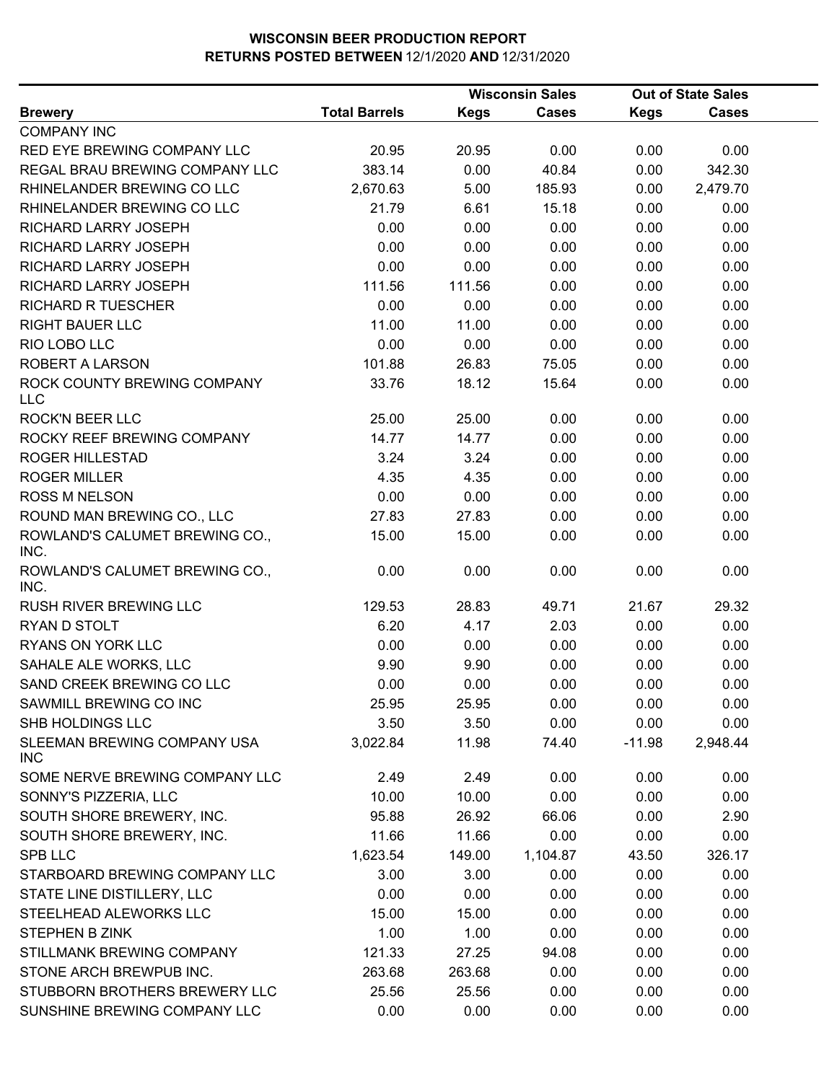|                                        |                      | <b>Wisconsin Sales</b> |              |             | <b>Out of State Sales</b> |  |
|----------------------------------------|----------------------|------------------------|--------------|-------------|---------------------------|--|
| <b>Brewery</b>                         | <b>Total Barrels</b> | <b>Kegs</b>            | <b>Cases</b> | <b>Kegs</b> | <b>Cases</b>              |  |
| <b>COMPANY INC</b>                     |                      |                        |              |             |                           |  |
| RED EYE BREWING COMPANY LLC            | 20.95                | 20.95                  | 0.00         | 0.00        | 0.00                      |  |
| REGAL BRAU BREWING COMPANY LLC         | 383.14               | 0.00                   | 40.84        | 0.00        | 342.30                    |  |
| RHINELANDER BREWING CO LLC             | 2,670.63             | 5.00                   | 185.93       | 0.00        | 2,479.70                  |  |
| RHINELANDER BREWING CO LLC             | 21.79                | 6.61                   | 15.18        | 0.00        | 0.00                      |  |
| RICHARD LARRY JOSEPH                   | 0.00                 | 0.00                   | 0.00         | 0.00        | 0.00                      |  |
| RICHARD LARRY JOSEPH                   | 0.00                 | 0.00                   | 0.00         | 0.00        | 0.00                      |  |
| RICHARD LARRY JOSEPH                   | 0.00                 | 0.00                   | 0.00         | 0.00        | 0.00                      |  |
| RICHARD LARRY JOSEPH                   | 111.56               | 111.56                 | 0.00         | 0.00        | 0.00                      |  |
| <b>RICHARD R TUESCHER</b>              | 0.00                 | 0.00                   | 0.00         | 0.00        | 0.00                      |  |
| <b>RIGHT BAUER LLC</b>                 | 11.00                | 11.00                  | 0.00         | 0.00        | 0.00                      |  |
| RIO LOBO LLC                           | 0.00                 | 0.00                   | 0.00         | 0.00        | 0.00                      |  |
| ROBERT A LARSON                        | 101.88               | 26.83                  | 75.05        | 0.00        | 0.00                      |  |
| ROCK COUNTY BREWING COMPANY<br>LLC     | 33.76                | 18.12                  | 15.64        | 0.00        | 0.00                      |  |
| <b>ROCK'N BEER LLC</b>                 | 25.00                | 25.00                  | 0.00         | 0.00        | 0.00                      |  |
| ROCKY REEF BREWING COMPANY             | 14.77                | 14.77                  | 0.00         | 0.00        | 0.00                      |  |
| <b>ROGER HILLESTAD</b>                 | 3.24                 | 3.24                   | 0.00         | 0.00        | 0.00                      |  |
| <b>ROGER MILLER</b>                    | 4.35                 | 4.35                   | 0.00         | 0.00        | 0.00                      |  |
| <b>ROSS M NELSON</b>                   | 0.00                 | 0.00                   | 0.00         | 0.00        | 0.00                      |  |
| ROUND MAN BREWING CO., LLC             | 27.83                | 27.83                  | 0.00         | 0.00        | 0.00                      |  |
| ROWLAND'S CALUMET BREWING CO.,<br>INC. | 15.00                | 15.00                  | 0.00         | 0.00        | 0.00                      |  |
| ROWLAND'S CALUMET BREWING CO.,<br>INC. | 0.00                 | 0.00                   | 0.00         | 0.00        | 0.00                      |  |
| RUSH RIVER BREWING LLC                 | 129.53               | 28.83                  | 49.71        | 21.67       | 29.32                     |  |
| RYAN D STOLT                           | 6.20                 | 4.17                   | 2.03         | 0.00        | 0.00                      |  |
| RYANS ON YORK LLC                      | 0.00                 | 0.00                   | 0.00         | 0.00        | 0.00                      |  |
| SAHALE ALE WORKS, LLC                  | 9.90                 | 9.90                   | 0.00         | 0.00        | 0.00                      |  |
| SAND CREEK BREWING CO LLC              | 0.00                 | 0.00                   | 0.00         | 0.00        | 0.00                      |  |
| SAWMILL BREWING CO INC                 | 25.95                | 25.95                  | 0.00         | 0.00        | 0.00                      |  |
| SHB HOLDINGS LLC                       | 3.50                 | 3.50                   | 0.00         | 0.00        | 0.00                      |  |
| SLEEMAN BREWING COMPANY USA<br>INC     | 3,022.84             | 11.98                  | 74.40        | $-11.98$    | 2,948.44                  |  |
| SOME NERVE BREWING COMPANY LLC         | 2.49                 | 2.49                   | 0.00         | 0.00        | 0.00                      |  |
| SONNY'S PIZZERIA, LLC                  | 10.00                | 10.00                  | 0.00         | 0.00        | 0.00                      |  |
| SOUTH SHORE BREWERY, INC.              | 95.88                | 26.92                  | 66.06        | 0.00        | 2.90                      |  |
| SOUTH SHORE BREWERY, INC.              | 11.66                | 11.66                  | 0.00         | 0.00        | 0.00                      |  |
| <b>SPB LLC</b>                         | 1,623.54             | 149.00                 | 1,104.87     | 43.50       | 326.17                    |  |
| STARBOARD BREWING COMPANY LLC          | 3.00                 | 3.00                   | 0.00         | 0.00        | 0.00                      |  |
| STATE LINE DISTILLERY, LLC             | 0.00                 | 0.00                   | 0.00         | 0.00        | 0.00                      |  |
| STEELHEAD ALEWORKS LLC                 | 15.00                | 15.00                  | 0.00         | 0.00        | 0.00                      |  |
| STEPHEN B ZINK                         | 1.00                 | 1.00                   | 0.00         | 0.00        | 0.00                      |  |
| STILLMANK BREWING COMPANY              | 121.33               | 27.25                  | 94.08        | 0.00        | 0.00                      |  |
| STONE ARCH BREWPUB INC.                | 263.68               | 263.68                 | 0.00         | 0.00        | 0.00                      |  |
| STUBBORN BROTHERS BREWERY LLC          | 25.56                | 25.56                  | 0.00         | 0.00        | 0.00                      |  |
| SUNSHINE BREWING COMPANY LLC           | 0.00                 | 0.00                   | 0.00         | 0.00        | 0.00                      |  |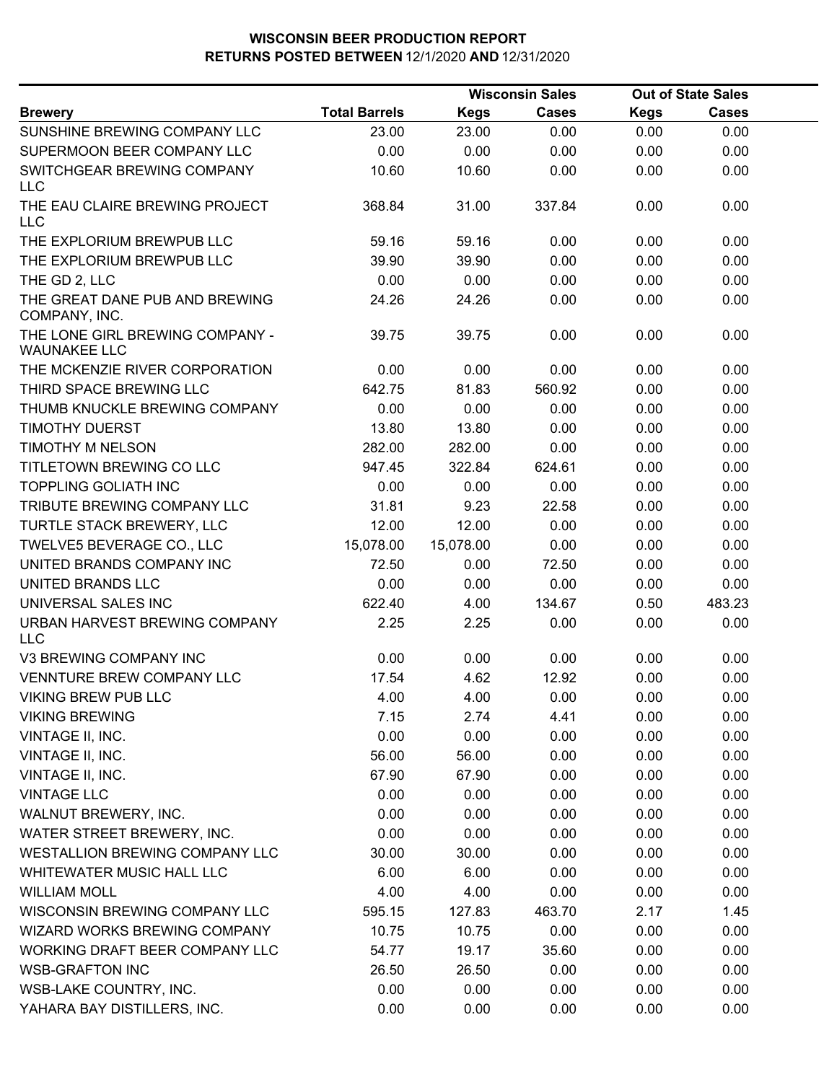|                                                        |                      |             | <b>Wisconsin Sales</b> |             | <b>Out of State Sales</b> |  |
|--------------------------------------------------------|----------------------|-------------|------------------------|-------------|---------------------------|--|
| <b>Brewery</b>                                         | <b>Total Barrels</b> | <b>Kegs</b> | <b>Cases</b>           | <b>Kegs</b> | <b>Cases</b>              |  |
| SUNSHINE BREWING COMPANY LLC                           | 23.00                | 23.00       | 0.00                   | 0.00        | 0.00                      |  |
| SUPERMOON BEER COMPANY LLC                             | 0.00                 | 0.00        | 0.00                   | 0.00        | 0.00                      |  |
| SWITCHGEAR BREWING COMPANY<br><b>LLC</b>               | 10.60                | 10.60       | 0.00                   | 0.00        | 0.00                      |  |
| THE EAU CLAIRE BREWING PROJECT<br><b>LLC</b>           | 368.84               | 31.00       | 337.84                 | 0.00        | 0.00                      |  |
| THE EXPLORIUM BREWPUB LLC                              | 59.16                | 59.16       | 0.00                   | 0.00        | 0.00                      |  |
| THE EXPLORIUM BREWPUB LLC                              | 39.90                | 39.90       | 0.00                   | 0.00        | 0.00                      |  |
| THE GD 2, LLC                                          | 0.00                 | 0.00        | 0.00                   | 0.00        | 0.00                      |  |
| THE GREAT DANE PUB AND BREWING<br>COMPANY, INC.        | 24.26                | 24.26       | 0.00                   | 0.00        | 0.00                      |  |
| THE LONE GIRL BREWING COMPANY -<br><b>WAUNAKEE LLC</b> | 39.75                | 39.75       | 0.00                   | 0.00        | 0.00                      |  |
| THE MCKENZIE RIVER CORPORATION                         | 0.00                 | 0.00        | 0.00                   | 0.00        | 0.00                      |  |
| THIRD SPACE BREWING LLC                                | 642.75               | 81.83       | 560.92                 | 0.00        | 0.00                      |  |
| THUMB KNUCKLE BREWING COMPANY                          | 0.00                 | 0.00        | 0.00                   | 0.00        | 0.00                      |  |
| TIMOTHY DUERST                                         | 13.80                | 13.80       | 0.00                   | 0.00        | 0.00                      |  |
| TIMOTHY M NELSON                                       | 282.00               | 282.00      | 0.00                   | 0.00        | 0.00                      |  |
| TITLETOWN BREWING CO LLC                               | 947.45               | 322.84      | 624.61                 | 0.00        | 0.00                      |  |
| <b>TOPPLING GOLIATH INC</b>                            | 0.00                 | 0.00        | 0.00                   | 0.00        | 0.00                      |  |
| TRIBUTE BREWING COMPANY LLC                            | 31.81                | 9.23        | 22.58                  | 0.00        | 0.00                      |  |
| TURTLE STACK BREWERY, LLC                              | 12.00                | 12.00       | 0.00                   | 0.00        | 0.00                      |  |
| TWELVE5 BEVERAGE CO., LLC                              | 15,078.00            | 15,078.00   | 0.00                   | 0.00        | 0.00                      |  |
| UNITED BRANDS COMPANY INC                              | 72.50                | 0.00        | 72.50                  | 0.00        | 0.00                      |  |
| UNITED BRANDS LLC                                      | 0.00                 | 0.00        | 0.00                   | 0.00        | 0.00                      |  |
| UNIVERSAL SALES INC                                    | 622.40               | 4.00        | 134.67                 | 0.50        | 483.23                    |  |
| URBAN HARVEST BREWING COMPANY<br><b>LLC</b>            | 2.25                 | 2.25        | 0.00                   | 0.00        | 0.00                      |  |
| V3 BREWING COMPANY INC                                 | 0.00                 | 0.00        | 0.00                   | 0.00        | 0.00                      |  |
| <b>VENNTURE BREW COMPANY LLC</b>                       | 17.54                | 4.62        | 12.92                  | 0.00        | 0.00                      |  |
| VIKING BREW PUB LLC                                    | 4.00                 | 4.00        | 0.00                   | 0.00        | 0.00                      |  |
| <b>VIKING BREWING</b>                                  | 7.15                 | 2.74        | 4.41                   | 0.00        | 0.00                      |  |
| VINTAGE II, INC.                                       | 0.00                 | 0.00        | 0.00                   | 0.00        | 0.00                      |  |
| VINTAGE II, INC.                                       | 56.00                | 56.00       | 0.00                   | 0.00        | 0.00                      |  |
| VINTAGE II, INC.                                       | 67.90                | 67.90       | 0.00                   | 0.00        | 0.00                      |  |
| <b>VINTAGE LLC</b>                                     | 0.00                 | 0.00        | 0.00                   | 0.00        | 0.00                      |  |
| WALNUT BREWERY, INC.                                   | 0.00                 | 0.00        | 0.00                   | 0.00        | 0.00                      |  |
| WATER STREET BREWERY, INC.                             | 0.00                 | 0.00        | 0.00                   | 0.00        | 0.00                      |  |
| WESTALLION BREWING COMPANY LLC                         | 30.00                | 30.00       | 0.00                   | 0.00        | 0.00                      |  |
| WHITEWATER MUSIC HALL LLC                              | 6.00                 | 6.00        | 0.00                   | 0.00        | 0.00                      |  |
| <b>WILLIAM MOLL</b>                                    | 4.00                 | 4.00        | 0.00                   | 0.00        | 0.00                      |  |
| WISCONSIN BREWING COMPANY LLC                          | 595.15               | 127.83      | 463.70                 | 2.17        | 1.45                      |  |
| WIZARD WORKS BREWING COMPANY                           | 10.75                | 10.75       | 0.00                   | 0.00        | 0.00                      |  |
| WORKING DRAFT BEER COMPANY LLC                         | 54.77                | 19.17       | 35.60                  | 0.00        | 0.00                      |  |
| <b>WSB-GRAFTON INC</b>                                 | 26.50                | 26.50       | 0.00                   | 0.00        | 0.00                      |  |
| WSB-LAKE COUNTRY, INC.                                 | 0.00                 | 0.00        | 0.00                   | 0.00        | 0.00                      |  |
| YAHARA BAY DISTILLERS, INC.                            | 0.00                 | 0.00        | 0.00                   | 0.00        | 0.00                      |  |